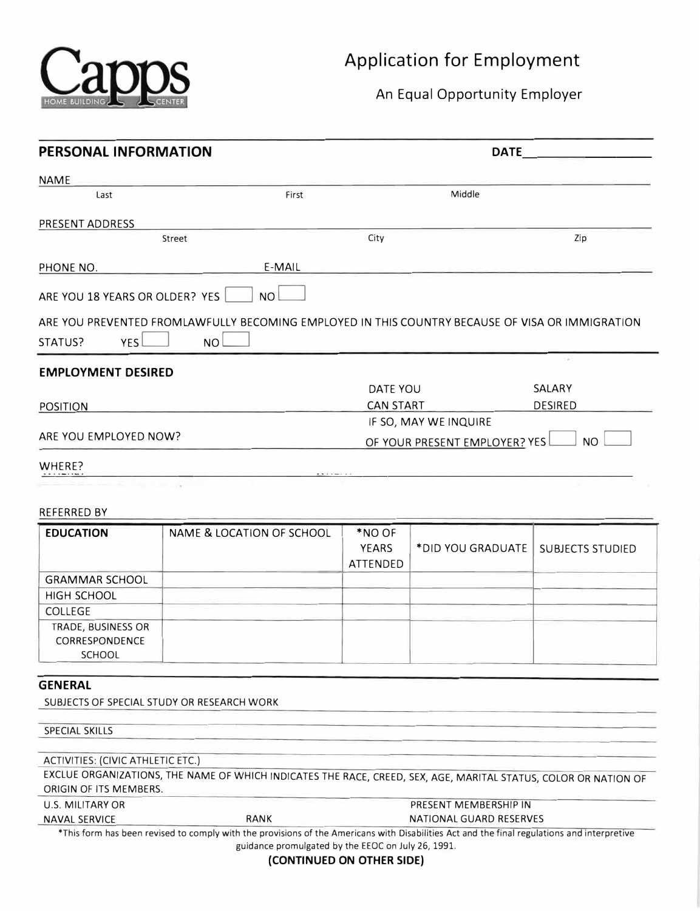

An Equal Opportunity Employer

| <b>PERSONAL INFORMATION</b>       |                                                                                                                                             |                  | <b>DATE</b>                    |                         |  |
|-----------------------------------|---------------------------------------------------------------------------------------------------------------------------------------------|------------------|--------------------------------|-------------------------|--|
| <b>NAME</b>                       |                                                                                                                                             |                  |                                |                         |  |
| Last                              | First                                                                                                                                       | Middle           |                                |                         |  |
| PRESENT ADDRESS                   |                                                                                                                                             |                  |                                |                         |  |
|                                   | Street                                                                                                                                      | City             |                                | Zip                     |  |
| PHONE NO.                         | E-MAIL                                                                                                                                      |                  |                                |                         |  |
|                                   |                                                                                                                                             |                  |                                |                         |  |
| ARE YOU 18 YEARS OR OLDER? YES    | <b>NO</b>                                                                                                                                   |                  |                                |                         |  |
|                                   | ARE YOU PREVENTED FROMLAWFULLY BECOMING EMPLOYED IN THIS COUNTRY BECAUSE OF VISA OR IMMIGRATION                                             |                  |                                |                         |  |
| YES<br>STATUS?                    | NO <sub>0</sub>                                                                                                                             |                  |                                |                         |  |
| <b>EMPLOYMENT DESIRED</b>         |                                                                                                                                             |                  |                                |                         |  |
|                                   |                                                                                                                                             | DATE YOU         |                                | SALARY                  |  |
| <b>POSITION</b>                   |                                                                                                                                             | <b>CAN START</b> |                                | <b>DESIRED</b>          |  |
|                                   |                                                                                                                                             |                  | IF SO, MAY WE INQUIRE          |                         |  |
| ARE YOU EMPLOYED NOW?             |                                                                                                                                             |                  | OF YOUR PRESENT EMPLOYER? YES  | <b>NO</b>               |  |
| WHERE?                            |                                                                                                                                             |                  |                                |                         |  |
|                                   |                                                                                                                                             |                  |                                |                         |  |
|                                   |                                                                                                                                             |                  |                                |                         |  |
| <b>REFERRED BY</b>                |                                                                                                                                             |                  |                                |                         |  |
| <b>EDUCATION</b>                  | NAME & LOCATION OF SCHOOL                                                                                                                   | *NO OF           |                                |                         |  |
|                                   |                                                                                                                                             | <b>YEARS</b>     | *DID YOU GRADUATE              | <b>SUBJECTS STUDIED</b> |  |
|                                   |                                                                                                                                             | ATTENDED         |                                |                         |  |
| <b>GRAMMAR SCHOOL</b>             |                                                                                                                                             |                  |                                |                         |  |
| HIGH SCHOOL                       |                                                                                                                                             |                  |                                |                         |  |
| <b>COLLEGE</b>                    |                                                                                                                                             |                  |                                |                         |  |
| TRADE, BUSINESS OR                |                                                                                                                                             |                  |                                |                         |  |
| CORRESPONDENCE                    |                                                                                                                                             |                  |                                |                         |  |
| <b>SCHOOL</b>                     |                                                                                                                                             |                  |                                |                         |  |
| <b>GENERAL</b>                    |                                                                                                                                             |                  |                                |                         |  |
|                                   | SUBJECTS OF SPECIAL STUDY OR RESEARCH WORK                                                                                                  |                  |                                |                         |  |
|                                   |                                                                                                                                             |                  |                                |                         |  |
| <b>SPECIAL SKILLS</b>             |                                                                                                                                             |                  |                                |                         |  |
|                                   |                                                                                                                                             |                  |                                |                         |  |
| ACTIVITIES: (CIVIC ATHLETIC ETC.) |                                                                                                                                             |                  |                                |                         |  |
| ORIGIN OF ITS MEMBERS.            | EXCLUE ORGANIZATIONS, THE NAME OF WHICH INDICATES THE RACE, CREED, SEX, AGE, MARITAL STATUS, COLOR OR NATION OF                             |                  |                                |                         |  |
| U.S. MILITARY OR                  |                                                                                                                                             |                  | PRESENT MEMBERSHIP IN          |                         |  |
| <b>NAVAL SERVICE</b>              | <b>RANK</b>                                                                                                                                 |                  | <b>NATIONAL GUARD RESERVES</b> |                         |  |
|                                   | *This form has been revised to comply with the provisions of the Americans with Disabilities Act and the final regulations and interpretive |                  |                                |                         |  |
|                                   | guidance promulgated by the EEOC on July 26, 1991.                                                                                          |                  |                                |                         |  |
|                                   | (CONTINUED ON OTHER SIDE)                                                                                                                   |                  |                                |                         |  |
|                                   |                                                                                                                                             |                  |                                |                         |  |